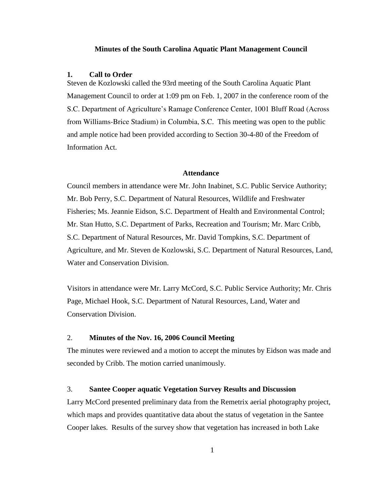#### **Minutes of the South Carolina Aquatic Plant Management Council**

#### **1. Call to Order**

Steven de Kozlowski called the 93rd meeting of the South Carolina Aquatic Plant Management Council to order at 1:09 pm on Feb. 1, 2007 in the conference room of the S.C. Department of Agriculture's Ramage Conference Center, 1001 Bluff Road (Across from Williams-Brice Stadium) in Columbia, S.C. This meeting was open to the public and ample notice had been provided according to Section 30-4-80 of the Freedom of Information Act.

## **Attendance**

Council members in attendance were Mr. John Inabinet, S.C. Public Service Authority; Mr. Bob Perry, S.C. Department of Natural Resources, Wildlife and Freshwater Fisheries; Ms. Jeannie Eidson, S.C. Department of Health and Environmental Control; Mr. Stan Hutto, S.C. Department of Parks, Recreation and Tourism; Mr. Marc Cribb, S.C. Department of Natural Resources, Mr. David Tompkins, S.C. Department of Agriculture, and Mr. Steven de Kozlowski, S.C. Department of Natural Resources, Land, Water and Conservation Division.

Visitors in attendance were Mr. Larry McCord, S.C. Public Service Authority; Mr. Chris Page, Michael Hook, S.C. Department of Natural Resources, Land, Water and Conservation Division.

## 2. **Minutes of the Nov. 16, 2006 Council Meeting**

The minutes were reviewed and a motion to accept the minutes by Eidson was made and seconded by Cribb. The motion carried unanimously.

## 3. **Santee Cooper aquatic Vegetation Survey Results and Discussion**

Larry McCord presented preliminary data from the Remetrix aerial photography project, which maps and provides quantitative data about the status of vegetation in the Santee Cooper lakes. Results of the survey show that vegetation has increased in both Lake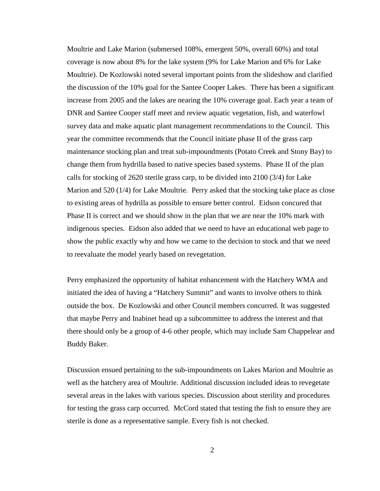Moultrie and Lake Marion (submersed 108%, emergent 50%, overall 60%) and total coverage is now about 8% for the lake system (9% for Lake Marion and 6% for Lake Moultrie). De Kozlowski noted several important points from the slideshow and clarified the discussion of the 10% goal for the Santee Cooper Lakes. There has been a significant increase from 2005 and the lakes are nearing the 10% coverage goal. Each year a team of DNR and Santee Cooper staff meet and review aquatic vegetation, fish, and waterfowl survey data and make aquatic plant management recommendations to the Council. This year the committee recommends that the Council initiate phase II of the grass carp maintenance stocking plan and treat sub-impoundments (Potato Creek and Stony Bay) to change them from hydrilla based to native species based systems. Phase II of the plan calls for stocking of 2620 sterile grass carp, to be divided into 2100 (3/4) for Lake Marion and 520 (1/4) for Lake Moultrie. Perry asked that the stocking take place as close to existing areas of hydrilla as possible to ensure better control. Eidson concured that Phase II is correct and we should show in the plan that we are near the 10% mark with indigenous species. Eidson also added that we need to have an educational web page to show the public exactly why and how we came to the decision to stock and that we need to reevaluate the model yearly based on revegetation.

Perry emphasized the opportunity of habitat enhancement with the Hatchery WMA and initiated the idea of having a "Hatchery Summit" and wants to involve others to think outside the box. De Kozlowski and other Council members concurred. It was suggested that maybe Perry and Inabinet head up a subcommittee to address the interest and that there should only be a group of 4-6 other people, which may include Sam Chappelear and Buddy Baker.

Discussion ensued pertaining to the sub-impoundments on Lakes Marion and Moultrie as well as the hatchery area of Moultrie. Additional discussion included ideas to revegetate several areas in the lakes with various species. Discussion about sterility and procedures for testing the grass carp occurred. McCord stated that testing the fish to ensure they are sterile is done as a representative sample. Every fish is not checked.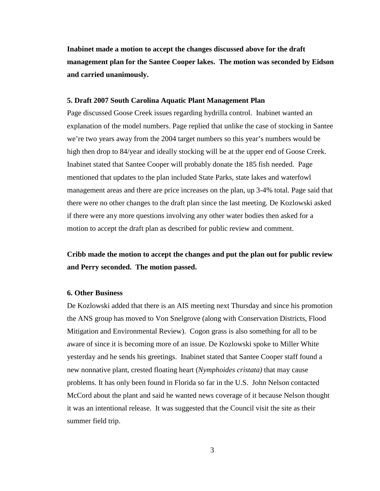**Inabinet made a motion to accept the changes discussed above for the draft management plan for the Santee Cooper lakes. The motion was seconded by Eidson and carried unanimously.** 

### **5. Draft 2007 South Carolina Aquatic Plant Management Plan**

Page discussed Goose Creek issues regarding hydrilla control. Inabinet wanted an explanation of the model numbers. Page replied that unlike the case of stocking in Santee we're two years away from the 2004 target numbers so this year's numbers would be high then drop to 84/year and ideally stocking will be at the upper end of Goose Creek. Inabinet stated that Santee Cooper will probably donate the 185 fish needed. Page mentioned that updates to the plan included State Parks, state lakes and waterfowl management areas and there are price increases on the plan, up 3-4% total. Page said that there were no other changes to the draft plan since the last meeting. De Kozlowski asked if there were any more questions involving any other water bodies then asked for a motion to accept the draft plan as described for public review and comment.

**Cribb made the motion to accept the changes and put the plan out for public review and Perry seconded. The motion passed.**

## **6. Other Business**

De Kozlowski added that there is an AIS meeting next Thursday and since his promotion the ANS group has moved to Von Snelgrove (along with Conservation Districts, Flood Mitigation and Environmental Review). Cogon grass is also something for all to be aware of since it is becoming more of an issue. De Kozlowski spoke to Miller White yesterday and he sends his greetings. Inabinet stated that Santee Cooper staff found a new nonnative plant, crested floating heart (*Nymphoides cristata)* that may cause problems. It has only been found in Florida so far in the U.S. John Nelson contacted McCord about the plant and said he wanted news coverage of it because Nelson thought it was an intentional release. It was suggested that the Council visit the site as their summer field trip.